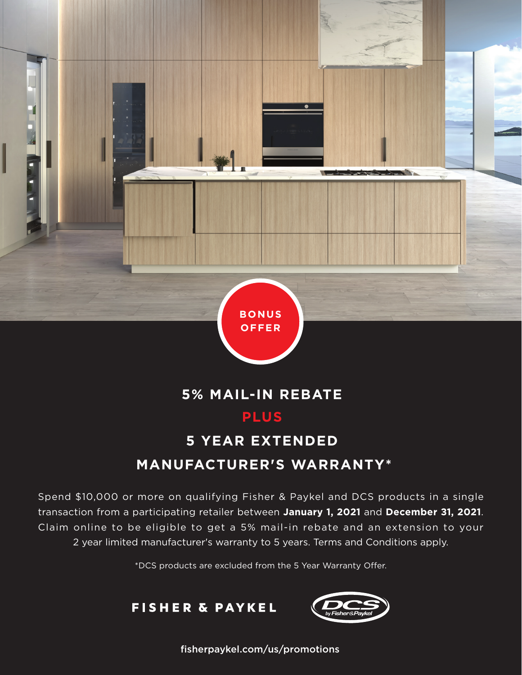

## **5% MAIL-IN REBATE PLUS**

# **5 YEAR EXTENDED MANUFACTURER'S WARRANTY\***

Spend \$10,000 or more on qualifying Fisher & Paykel and DCS products in a single transaction from a participating retailer between **January 1, 2021** and **December 31, 2021**. Claim online to be eligible to get a 5% mail-in rebate and an extension to your 2 year limited manufacturer's warranty to 5 years. Terms and Conditions apply.

\*DCS products are excluded from the 5 Year Warranty Offer.





fisherpaykel.com/us/promotions